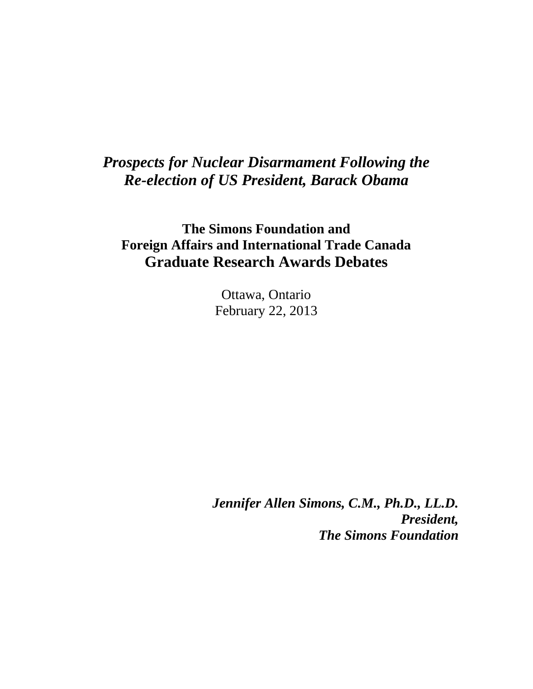## *Prospects for Nuclear Disarmament Following the Re-election of US President, Barack Obama*

**The Simons Foundation and Foreign Affairs and International Trade Canada Graduate Research Awards Debates**

> Ottawa, Ontario February 22, 2013

*Jennifer Allen Simons, C.M., Ph.D., LL.D. President, The Simons Foundation*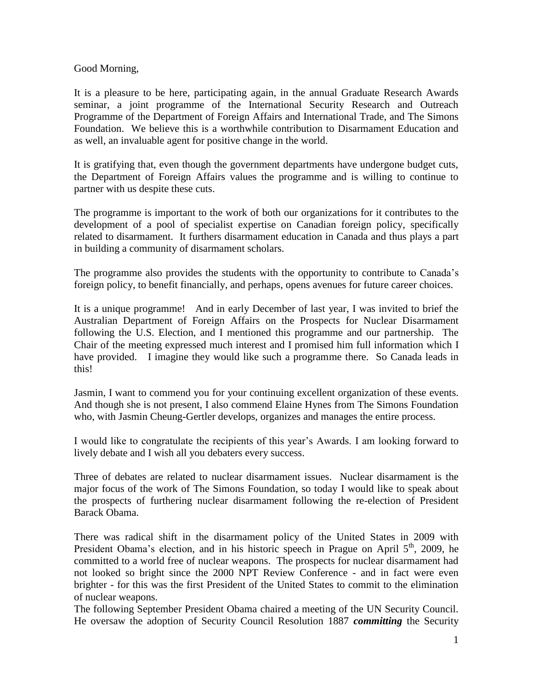Good Morning,

It is a pleasure to be here, participating again, in the annual Graduate Research Awards seminar, a joint programme of the International Security Research and Outreach Programme of the Department of Foreign Affairs and International Trade, and The Simons Foundation. We believe this is a worthwhile contribution to Disarmament Education and as well, an invaluable agent for positive change in the world.

It is gratifying that, even though the government departments have undergone budget cuts, the Department of Foreign Affairs values the programme and is willing to continue to partner with us despite these cuts.

The programme is important to the work of both our organizations for it contributes to the development of a pool of specialist expertise on Canadian foreign policy, specifically related to disarmament. It furthers disarmament education in Canada and thus plays a part in building a community of disarmament scholars.

The programme also provides the students with the opportunity to contribute to Canada's foreign policy, to benefit financially, and perhaps, opens avenues for future career choices.

It is a unique programme! And in early December of last year, I was invited to brief the Australian Department of Foreign Affairs on the Prospects for Nuclear Disarmament following the U.S. Election, and I mentioned this programme and our partnership. The Chair of the meeting expressed much interest and I promised him full information which I have provided. I imagine they would like such a programme there. So Canada leads in this!

Jasmin, I want to commend you for your continuing excellent organization of these events. And though she is not present, I also commend Elaine Hynes from The Simons Foundation who, with Jasmin Cheung-Gertler develops, organizes and manages the entire process.

I would like to congratulate the recipients of this year's Awards. I am looking forward to lively debate and I wish all you debaters every success.

Three of debates are related to nuclear disarmament issues. Nuclear disarmament is the major focus of the work of The Simons Foundation, so today I would like to speak about the prospects of furthering nuclear disarmament following the re-election of President Barack Obama.

There was radical shift in the disarmament policy of the United States in 2009 with President Obama's election, and in his historic speech in Prague on April 5<sup>th</sup>, 2009, he committed to a world free of nuclear weapons. The prospects for nuclear disarmament had not looked so bright since the 2000 NPT Review Conference - and in fact were even brighter - for this was the first President of the United States to commit to the elimination of nuclear weapons.

The following September President Obama chaired a meeting of the UN Security Council. He oversaw the adoption of Security Council Resolution 1887 *committing* the Security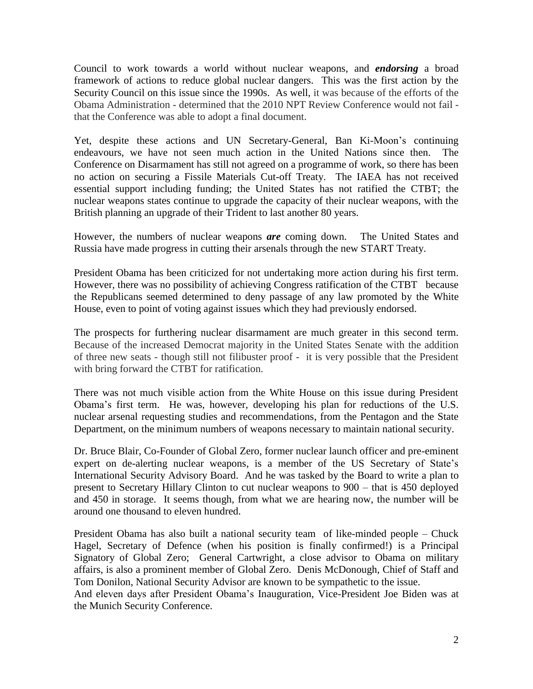Council to work towards a world without nuclear weapons, and *endorsing* a broad framework of actions to reduce global nuclear dangers. This was the first action by the Security Council on this issue since the 1990s. As well, it was because of the efforts of the Obama Administration - determined that the 2010 NPT Review Conference would not fail that the Conference was able to adopt a final document.

Yet, despite these actions and UN Secretary-General, Ban Ki-Moon's continuing endeavours, we have not seen much action in the United Nations since then. The Conference on Disarmament has still not agreed on a programme of work, so there has been no action on securing a Fissile Materials Cut-off Treaty. The IAEA has not received essential support including funding; the United States has not ratified the CTBT; the nuclear weapons states continue to upgrade the capacity of their nuclear weapons, with the British planning an upgrade of their Trident to last another 80 years.

However, the numbers of nuclear weapons *are* coming down. The United States and Russia have made progress in cutting their arsenals through the new START Treaty.

President Obama has been criticized for not undertaking more action during his first term. However, there was no possibility of achieving Congress ratification of the CTBT because the Republicans seemed determined to deny passage of any law promoted by the White House, even to point of voting against issues which they had previously endorsed.

The prospects for furthering nuclear disarmament are much greater in this second term. Because of the increased Democrat majority in the United States Senate with the addition of three new seats - though still not filibuster proof - it is very possible that the President with bring forward the CTBT for ratification.

There was not much visible action from the White House on this issue during President Obama's first term. He was, however, developing his plan for reductions of the U.S. nuclear arsenal requesting studies and recommendations, from the Pentagon and the State Department, on the minimum numbers of weapons necessary to maintain national security.

Dr. Bruce Blair, Co-Founder of Global Zero, former nuclear launch officer and pre-eminent expert on de-alerting nuclear weapons, is a member of the US Secretary of State's International Security Advisory Board. And he was tasked by the Board to write a plan to present to Secretary Hillary Clinton to cut nuclear weapons to 900 – that is 450 deployed and 450 in storage. It seems though, from what we are hearing now, the number will be around one thousand to eleven hundred.

President Obama has also built a national security team of like-minded people – Chuck Hagel, Secretary of Defence (when his position is finally confirmed!) is a Principal Signatory of Global Zero; General Cartwright, a close advisor to Obama on military affairs, is also a prominent member of Global Zero. Denis McDonough, Chief of Staff and Tom Donilon, National Security Advisor are known to be sympathetic to the issue.

And eleven days after President Obama's Inauguration, Vice-President Joe Biden was at the Munich Security Conference.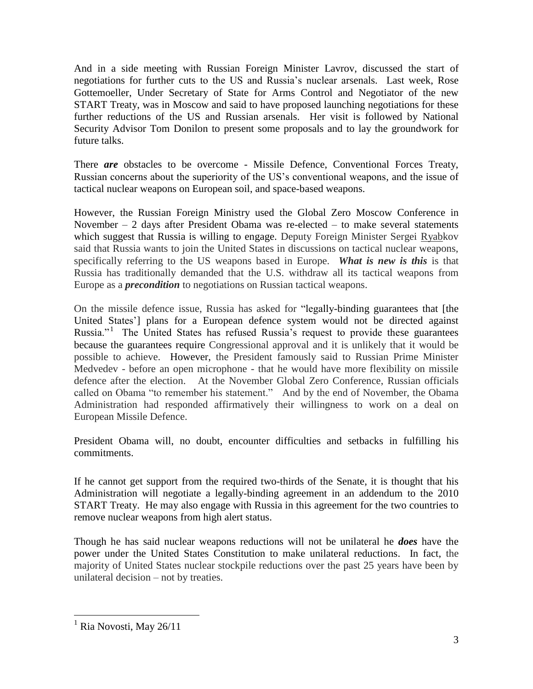And in a side meeting with Russian Foreign Minister Lavrov, discussed the start of negotiations for further cuts to the US and Russia's nuclear arsenals. Last week, Rose Gottemoeller, Under Secretary of State for Arms Control and Negotiator of the new START Treaty, was in Moscow and said to have proposed launching negotiations for these further reductions of the US and Russian arsenals. Her visit is followed by National Security Advisor Tom Donilon to present some proposals and to lay the groundwork for future talks.

There *are* obstacles to be overcome - Missile Defence, Conventional Forces Treaty, Russian concerns about the superiority of the US's conventional weapons, and the issue of tactical nuclear weapons on European soil, and space-based weapons.

However, the Russian Foreign Ministry used the Global Zero Moscow Conference in November – 2 days after President Obama was re-elected – to make several statements which suggest that Russia is willing to engage. Deputy Foreign Minister Sergei Ryabkov said that Russia wants to join the United States in discussions on tactical nuclear weapons, specifically referring to the US weapons based in Europe. *What is new is this* is that Russia has traditionally demanded that the U.S. withdraw all its tactical weapons from Europe as a *precondition* to negotiations on Russian tactical weapons.

On the missile defence issue, Russia has asked for "legally-binding guarantees that [the United States'] plans for a European defence system would not be directed against Russia."<sup>1</sup> The United States has refused Russia's request to provide these guarantees because the guarantees require Congressional approval and it is unlikely that it would be possible to achieve. However, the President famously said to Russian Prime Minister Medvedev - before an open microphone - that he would have more flexibility on missile defence after the election. At the November Global Zero Conference, Russian officials called on Obama "to remember his statement." And by the end of November, the Obama Administration had responded affirmatively their willingness to work on a deal on European Missile Defence.

President Obama will, no doubt, encounter difficulties and setbacks in fulfilling his commitments.

If he cannot get support from the required two-thirds of the Senate, it is thought that his Administration will negotiate a legally-binding agreement in an addendum to the 2010 START Treaty. He may also engage with Russia in this agreement for the two countries to remove nuclear weapons from high alert status.

Though he has said nuclear weapons reductions will not be unilateral he *does* have the power under the United States Constitution to make unilateral reductions. In fact, the majority of United States nuclear stockpile reductions over the past 25 years have been by unilateral decision – not by treaties.

 $\overline{a}$ 

 $<sup>1</sup>$  Ria Novosti, May 26/11</sup>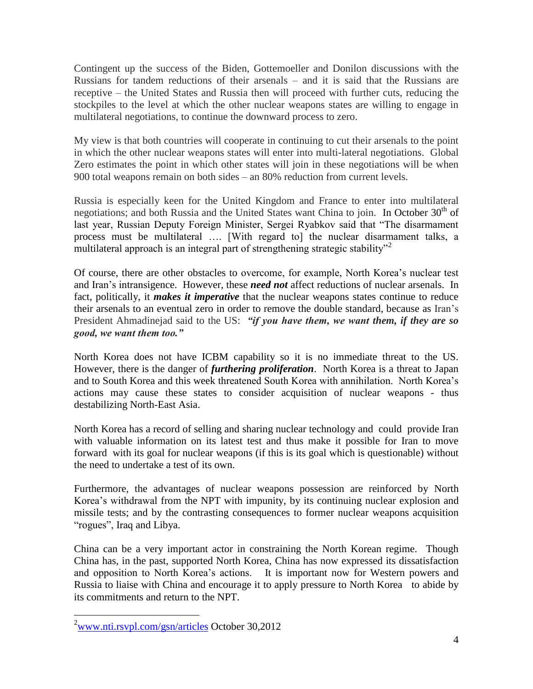Contingent up the success of the Biden, Gottemoeller and Donilon discussions with the Russians for tandem reductions of their arsenals – and it is said that the Russians are receptive – the United States and Russia then will proceed with further cuts, reducing the stockpiles to the level at which the other nuclear weapons states are willing to engage in multilateral negotiations, to continue the downward process to zero.

My view is that both countries will cooperate in continuing to cut their arsenals to the point in which the other nuclear weapons states will enter into multi-lateral negotiations. Global Zero estimates the point in which other states will join in these negotiations will be when 900 total weapons remain on both sides – an 80% reduction from current levels.

Russia is especially keen for the United Kingdom and France to enter into multilateral negotiations; and both Russia and the United States want China to join. In October  $30<sup>th</sup>$  of last year, Russian Deputy Foreign Minister, Sergei Ryabkov said that "The disarmament process must be multilateral …. [With regard to] the nuclear disarmament talks, a multilateral approach is an integral part of strengthening strategic stability<sup> $2$ </sup>

Of course, there are other obstacles to overcome, for example, North Korea's nuclear test and Iran's intransigence. However, these *need not* affect reductions of nuclear arsenals. In fact, politically, it *makes it imperative* that the nuclear weapons states continue to reduce their arsenals to an eventual zero in order to remove the double standard, because as Iran's President Ahmadinejad said to the US: *"if you have them, we want them, if they are so good, we want them too."*

North Korea does not have ICBM capability so it is no immediate threat to the US. However, there is the danger of *furthering proliferation*. North Korea is a threat to Japan and to South Korea and this week threatened South Korea with annihilation. North Korea's actions may cause these states to consider acquisition of nuclear weapons - thus destabilizing North-East Asia.

North Korea has a record of selling and sharing nuclear technology and could provide Iran with valuable information on its latest test and thus make it possible for Iran to move forward with its goal for nuclear weapons (if this is its goal which is questionable) without the need to undertake a test of its own.

Furthermore, the advantages of nuclear weapons possession are reinforced by North Korea's withdrawal from the NPT with impunity, by its continuing nuclear explosion and missile tests; and by the contrasting consequences to former nuclear weapons acquisition "rogues", Iraq and Libya.

China can be a very important actor in constraining the North Korean regime. Though China has, in the past, supported North Korea, China has now expressed its dissatisfaction and opposition to North Korea's actions. It is important now for Western powers and Russia to liaise with China and encourage it to apply pressure to North Korea to abide by its commitments and return to the NPT.

 $\overline{a}$ 

 $2$ [www.nti.rsvpl.com/gsn/articles](http://www.nti.rsvpl.com/gsn/articles) October 30,2012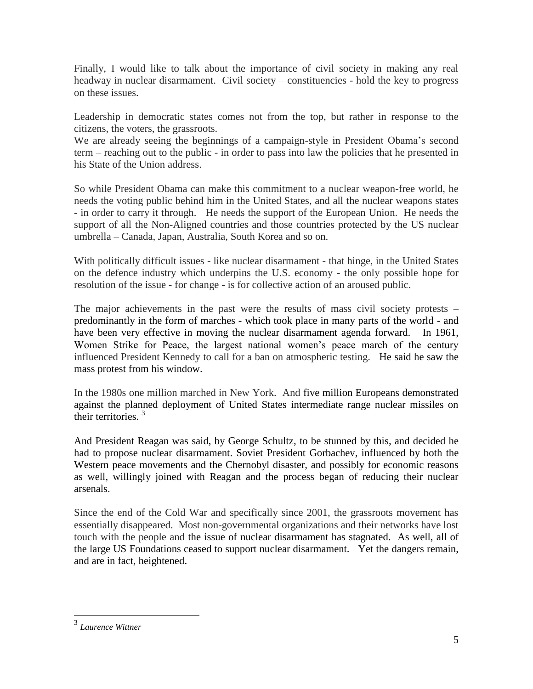Finally, I would like to talk about the importance of civil society in making any real headway in nuclear disarmament. Civil society – constituencies - hold the key to progress on these issues.

Leadership in democratic states comes not from the top, but rather in response to the citizens, the voters, the grassroots.

We are already seeing the beginnings of a campaign-style in President Obama's second term – reaching out to the public - in order to pass into law the policies that he presented in his State of the Union address.

So while President Obama can make this commitment to a nuclear weapon-free world, he needs the voting public behind him in the United States, and all the nuclear weapons states - in order to carry it through. He needs the support of the European Union. He needs the support of all the Non-Aligned countries and those countries protected by the US nuclear umbrella – Canada, Japan, Australia, South Korea and so on.

With politically difficult issues - like nuclear disarmament - that hinge, in the United States on the defence industry which underpins the U.S. economy - the only possible hope for resolution of the issue - for change - is for collective action of an aroused public.

The major achievements in the past were the results of mass civil society protests – predominantly in the form of marches - which took place in many parts of the world - and have been very effective in moving the nuclear disarmament agenda forward. In 1961, Women Strike for Peace, the largest national women's peace march of the century influenced President Kennedy to call for a ban on atmospheric testing. He said he saw the mass protest from his window.

In the 1980s one million marched in New York. And five million Europeans demonstrated against the planned deployment of United States intermediate range nuclear missiles on their territories. <sup>3</sup>

And President Reagan was said, by George Schultz, to be stunned by this, and decided he had to propose nuclear disarmament. Soviet President Gorbachev, influenced by both the Western peace movements and the Chernobyl disaster, and possibly for economic reasons as well, willingly joined with Reagan and the process began of reducing their nuclear arsenals.

Since the end of the Cold War and specifically since 2001, the grassroots movement has essentially disappeared. Most non-governmental organizations and their networks have lost touch with the people and the issue of nuclear disarmament has stagnated. As well, all of the large US Foundations ceased to support nuclear disarmament. Yet the dangers remain, and are in fact, heightened.

 $\overline{a}$ 

<sup>3</sup> *Laurence Wittner*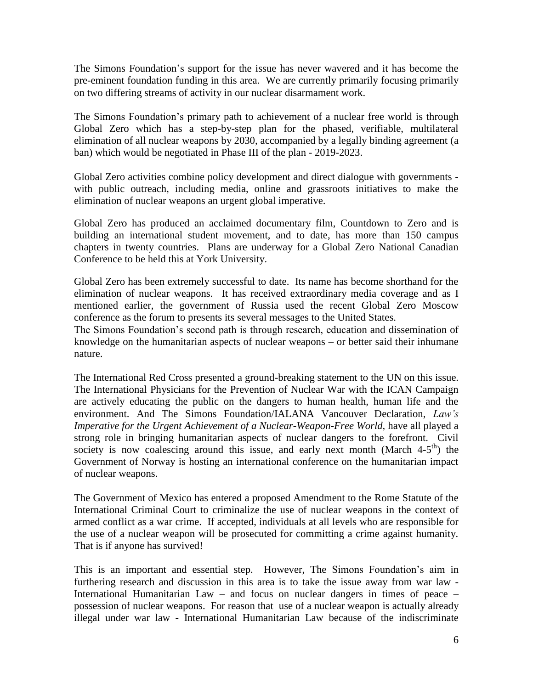The Simons Foundation's support for the issue has never wavered and it has become the pre-eminent foundation funding in this area. We are currently primarily focusing primarily on two differing streams of activity in our nuclear disarmament work.

The Simons Foundation's primary path to achievement of a nuclear free world is through Global Zero which has a step-by-step plan for the phased, verifiable, multilateral elimination of all nuclear weapons by 2030, accompanied by a legally binding agreement (a ban) which would be negotiated in Phase III of the plan - 2019-2023.

Global Zero activities combine policy development and direct dialogue with governments with public outreach, including media, online and grassroots initiatives to make the elimination of nuclear weapons an urgent global imperative.

Global Zero has produced an acclaimed documentary film, Countdown to Zero and is building an international student movement, and to date, has more than 150 campus chapters in twenty countries. Plans are underway for a Global Zero National Canadian Conference to be held this at York University.

Global Zero has been extremely successful to date. Its name has become shorthand for the elimination of nuclear weapons. It has received extraordinary media coverage and as I mentioned earlier, the government of Russia used the recent Global Zero Moscow conference as the forum to presents its several messages to the United States.

The Simons Foundation's second path is through research, education and dissemination of knowledge on the humanitarian aspects of nuclear weapons – or better said their inhumane nature.

The International Red Cross presented a ground-breaking statement to the UN on this issue. The International Physicians for the Prevention of Nuclear War with the ICAN Campaign are actively educating the public on the dangers to human health, human life and the environment. And The Simons Foundation/IALANA Vancouver Declaration, *Law's Imperative for the Urgent Achievement of a Nuclear-Weapon-Free World,* have all played a strong role in bringing humanitarian aspects of nuclear dangers to the forefront. Civil society is now coalescing around this issue, and early next month (March  $4-5<sup>th</sup>$ ) the Government of Norway is hosting an international conference on the humanitarian impact of nuclear weapons.

The Government of Mexico has entered a proposed Amendment to the Rome Statute of the International Criminal Court to criminalize the use of nuclear weapons in the context of armed conflict as a war crime. If accepted, individuals at all levels who are responsible for the use of a nuclear weapon will be prosecuted for committing a crime against humanity. That is if anyone has survived!

This is an important and essential step. However, The Simons Foundation's aim in furthering research and discussion in this area is to take the issue away from war law - International Humanitarian Law – and focus on nuclear dangers in times of peace – possession of nuclear weapons. For reason that use of a nuclear weapon is actually already illegal under war law - International Humanitarian Law because of the indiscriminate